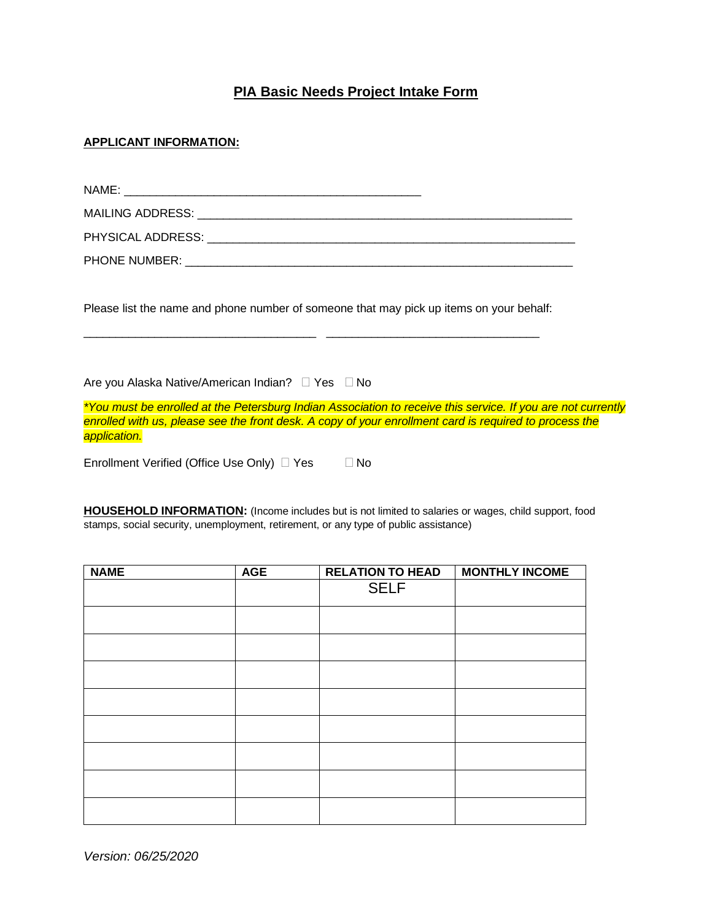## **PIA Basic Needs Project Intake Form**

## **APPLICANT INFORMATION:**

| NAME:                                        |  |
|----------------------------------------------|--|
|                                              |  |
| PHYSICAL ADDRESS: University of the ADDRESS: |  |
| <b>PHONE NUMBER:</b>                         |  |

Please list the name and phone number of someone that may pick up items on your behalf:

\_\_\_\_\_\_\_\_\_\_\_\_\_\_\_\_\_\_\_\_\_\_\_\_\_\_\_\_\_\_\_\_\_\_\_\_ \_\_\_\_\_\_\_\_\_\_\_\_\_\_\_\_\_\_\_\_\_\_\_\_\_\_\_\_\_\_\_\_\_

Are you Alaska Native/American Indian? Yes No

*\*You must be enrolled at the Petersburg Indian Association to receive this service. If you are not currently enrolled with us, please see the front desk. A copy of your enrollment card is required to process the application.*

Enrollment Verified (Office Use Only)  $\Box$  Yes  $\Box$  No

**HOUSEHOLD INFORMATION:** (Income includes but is not limited to salaries or wages, child support, food stamps, social security, unemployment, retirement, or any type of public assistance)

| <b>NAME</b> | <b>AGE</b> | <b>RELATION TO HEAD</b> | <b>MONTHLY INCOME</b> |
|-------------|------------|-------------------------|-----------------------|
|             |            | <b>SELF</b>             |                       |
|             |            |                         |                       |
|             |            |                         |                       |
|             |            |                         |                       |
|             |            |                         |                       |
|             |            |                         |                       |
|             |            |                         |                       |
|             |            |                         |                       |
|             |            |                         |                       |

*Version: 06/25/2020*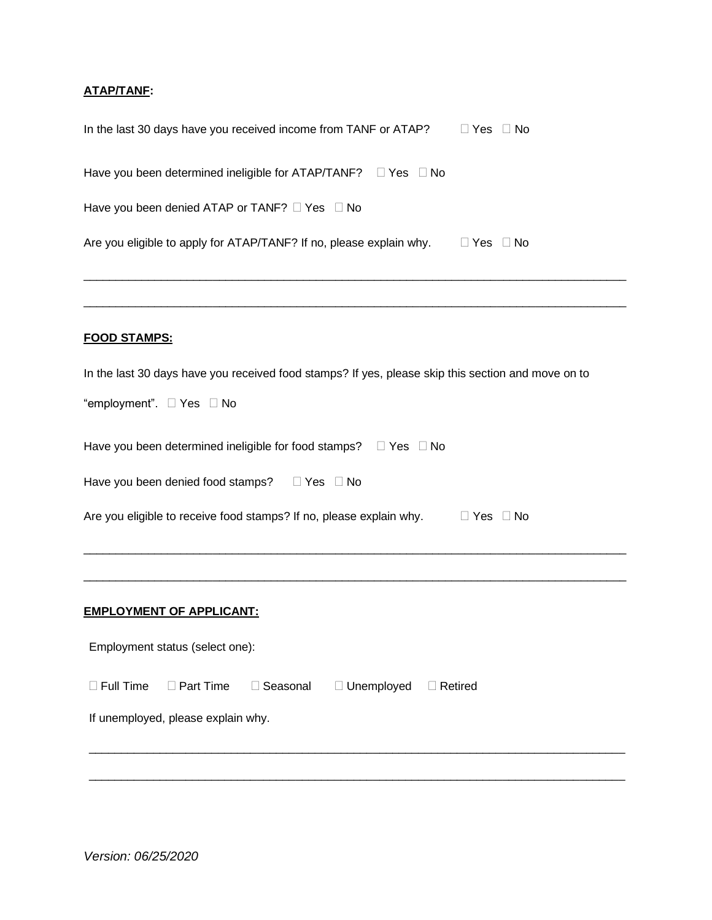## **ATAP/TANF:**

| In the last 30 days have you received income from TANF or ATAP?<br>$\Box$ Yes $\Box$ No            |  |  |  |  |
|----------------------------------------------------------------------------------------------------|--|--|--|--|
| Have you been determined ineligible for $ATAP/TANF? \square Yes \square No$                        |  |  |  |  |
| Have you been denied ATAP or TANF? □ Yes □ No                                                      |  |  |  |  |
| Are you eligible to apply for ATAP/TANF? If no, please explain why. $\square$ Yes $\square$ No     |  |  |  |  |
| <b>FOOD STAMPS:</b>                                                                                |  |  |  |  |
| In the last 30 days have you received food stamps? If yes, please skip this section and move on to |  |  |  |  |
| "employment". □ Yes □ No                                                                           |  |  |  |  |
| Have you been determined ineligible for food stamps? $\Box$ Yes $\Box$ No                          |  |  |  |  |
| Have you been denied food stamps? DYes DNo                                                         |  |  |  |  |
| Are you eligible to receive food stamps? If no, please explain why. $\Box$ Yes $\Box$ No           |  |  |  |  |
|                                                                                                    |  |  |  |  |
| <b>EMPLOYMENT OF APPLICANT:</b>                                                                    |  |  |  |  |
| Employment status (select one):                                                                    |  |  |  |  |
| $\Box$ Full Time<br>$\Box$ Part Time<br>Seasonal<br>□ Unemployed<br>$\Box$ Retired<br>$\Box$       |  |  |  |  |
| If unemployed, please explain why.                                                                 |  |  |  |  |
|                                                                                                    |  |  |  |  |